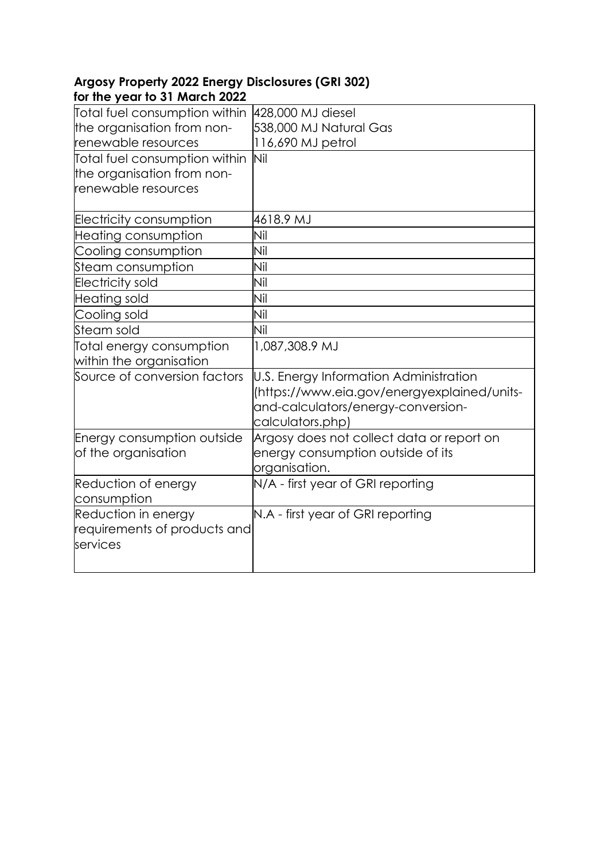## **Argosy Property 2022 Energy Disclosures (GRI 302) for the year to 31 March 2022**

| Total fuel consumption within                            | 428,000 MJ diesel                                                                                                                               |
|----------------------------------------------------------|-------------------------------------------------------------------------------------------------------------------------------------------------|
| the organisation from non-                               | 538,000 MJ Natural Gas                                                                                                                          |
| renewable resources                                      | 116,690 MJ petrol                                                                                                                               |
| Total fuel consumption within                            | Nil                                                                                                                                             |
| the organisation from non-                               |                                                                                                                                                 |
| renewable resources                                      |                                                                                                                                                 |
| <b>Electricity consumption</b>                           | 4618.9 MJ                                                                                                                                       |
| Heating consumption                                      | Nil                                                                                                                                             |
| Cooling consumption                                      | Nil                                                                                                                                             |
| Steam consumption                                        | Nil                                                                                                                                             |
| <b>Electricity sold</b>                                  | Nil                                                                                                                                             |
| Heating sold                                             | Nil                                                                                                                                             |
| Cooling sold                                             | Nil                                                                                                                                             |
| Steam sold                                               | Nil                                                                                                                                             |
| Total energy consumption                                 | 1,087,308.9 MJ                                                                                                                                  |
| within the organisation                                  |                                                                                                                                                 |
| Source of conversion factors                             | U.S. Energy Information Administration<br>(https://www.eia.gov/energyexplained/units-<br>and-calculators/energy-conversion-<br>calculators.php) |
| <b>Energy consumption outside</b><br>of the organisation | Argosy does not collect data or report on<br>energy consumption outside of its<br>organisation.                                                 |
| Reduction of energy                                      | N/A - first year of GRI reporting                                                                                                               |
| consumption                                              |                                                                                                                                                 |
| Reduction in energy                                      | N.A - first year of GRI reporting                                                                                                               |
| requirements of products and                             |                                                                                                                                                 |
| services                                                 |                                                                                                                                                 |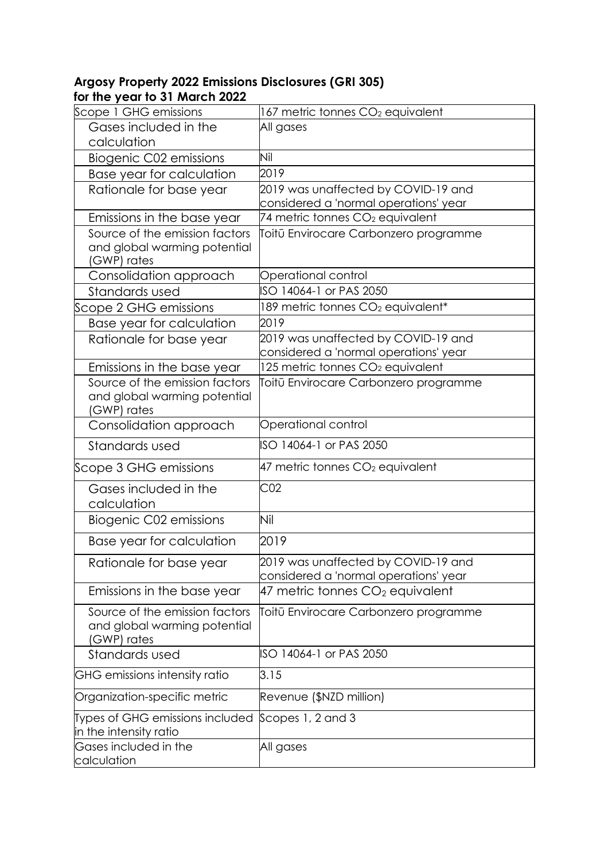## **Argosy Property 2022 Emissions Disclosures (GRI 305) for the year to 31 March 2022**

| Scope 1 GHG emissions                                                         | 167 metric tonnes CO <sub>2</sub> equivalent                                 |
|-------------------------------------------------------------------------------|------------------------------------------------------------------------------|
| Gases included in the                                                         | All gases                                                                    |
| calculation                                                                   |                                                                              |
| Biogenic C02 emissions                                                        | Nil                                                                          |
| Base year for calculation                                                     | 2019                                                                         |
| Rationale for base year                                                       | 2019 was unaffected by COVID-19 and                                          |
|                                                                               | considered a 'normal operations' year                                        |
| Emissions in the base year                                                    | 74 metric tonnes CO <sub>2</sub> equivalent                                  |
| Source of the emission factors<br>and global warming potential                | Toitū Envirocare Carbonzero programme                                        |
| (GWP) rates                                                                   |                                                                              |
| Consolidation approach                                                        | Operational control                                                          |
| Standards used                                                                | ISO 14064-1 or PAS 2050                                                      |
| Scope 2 GHG emissions                                                         | 189 metric tonnes CO <sub>2</sub> equivalent*                                |
| Base year for calculation                                                     | 2019                                                                         |
| Rationale for base year                                                       | 2019 was unaffected by COVID-19 and<br>considered a 'normal operations' year |
| Emissions in the base year                                                    | 125 metric tonnes CO2 equivalent                                             |
| Source of the emission factors<br>and global warming potential<br>(GWP) rates | Toitū Envirocare Carbonzero programme                                        |
| Consolidation approach                                                        | Operational control                                                          |
| Standards used                                                                | ISO 14064-1 or PAS 2050                                                      |
| Scope 3 GHG emissions                                                         | $47$ metric tonnes $CO2$ equivalent                                          |
| Gases included in the<br>calculation                                          | CO <sub>2</sub>                                                              |
| Biogenic C02 emissions                                                        | Nil                                                                          |
| Base year for calculation                                                     | 2019                                                                         |
| Rationale for base year                                                       | 2019 was unaffected by COVID-19 and<br>considered a 'normal operations' year |
| Emissions in the base year                                                    | $47$ metric tonnes CO <sub>2</sub> equivalent                                |
| Source of the emission factors<br>and global warming potential<br>(GWP) rates | Toitū Envirocare Carbonzero programme                                        |
| Standards used                                                                | ISO 14064-1 or PAS 2050                                                      |
| GHG emissions intensity ratio                                                 | 3.15                                                                         |
| Organization-specific metric                                                  | Revenue (\$NZD million)                                                      |
| Types of GHG emissions included<br>in the intensity ratio                     | Scopes 1, 2 and 3                                                            |
| Gases included in the<br>calculation                                          | All gases                                                                    |